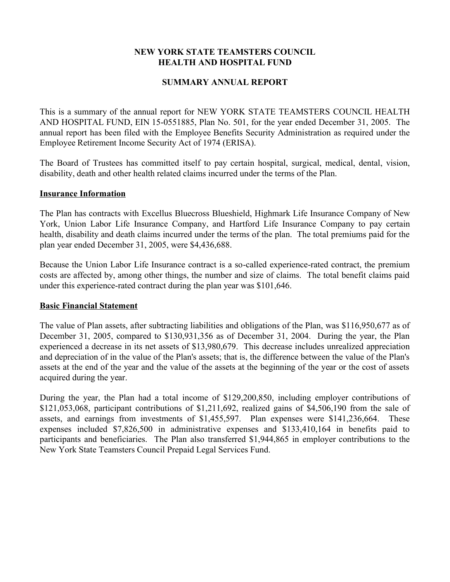# **NEW YORK STATE TEAMSTERS COUNCIL HEALTH AND HOSPITAL FUND**

## **SUMMARY ANNUAL REPORT**

This is a summary of the annual report for NEW YORK STATE TEAMSTERS COUNCIL HEALTH AND HOSPITAL FUND, EIN 15-0551885, Plan No. 501, for the year ended December 31, 2005. The annual report has been filed with the Employee Benefits Security Administration as required under the Employee Retirement Income Security Act of 1974 (ERISA).

The Board of Trustees has committed itself to pay certain hospital, surgical, medical, dental, vision, disability, death and other health related claims incurred under the terms of the Plan.

### **Insurance Information**

The Plan has contracts with Excellus Bluecross Blueshield, Highmark Life Insurance Company of New York, Union Labor Life Insurance Company, and Hartford Life Insurance Company to pay certain health, disability and death claims incurred under the terms of the plan. The total premiums paid for the plan year ended December 31, 2005, were \$4,436,688.

Because the Union Labor Life Insurance contract is a so-called experience-rated contract, the premium costs are affected by, among other things, the number and size of claims. The total benefit claims paid under this experience-rated contract during the plan year was \$101,646.

### **Basic Financial Statement**

The value of Plan assets, after subtracting liabilities and obligations of the Plan, was \$116,950,677 as of December 31, 2005, compared to \$130,931,356 as of December 31, 2004. During the year, the Plan experienced a decrease in its net assets of \$13,980,679. This decrease includes unrealized appreciation and depreciation of in the value of the Plan's assets; that is, the difference between the value of the Plan's assets at the end of the year and the value of the assets at the beginning of the year or the cost of assets acquired during the year.

During the year, the Plan had a total income of \$129,200,850, including employer contributions of \$121,053,068, participant contributions of \$1,211,692, realized gains of \$4,506,190 from the sale of assets, and earnings from investments of \$1,455,597. Plan expenses were \$141,236,664. These expenses included \$7,826,500 in administrative expenses and \$133,410,164 in benefits paid to participants and beneficiaries. The Plan also transferred \$1,944,865 in employer contributions to the New York State Teamsters Council Prepaid Legal Services Fund.